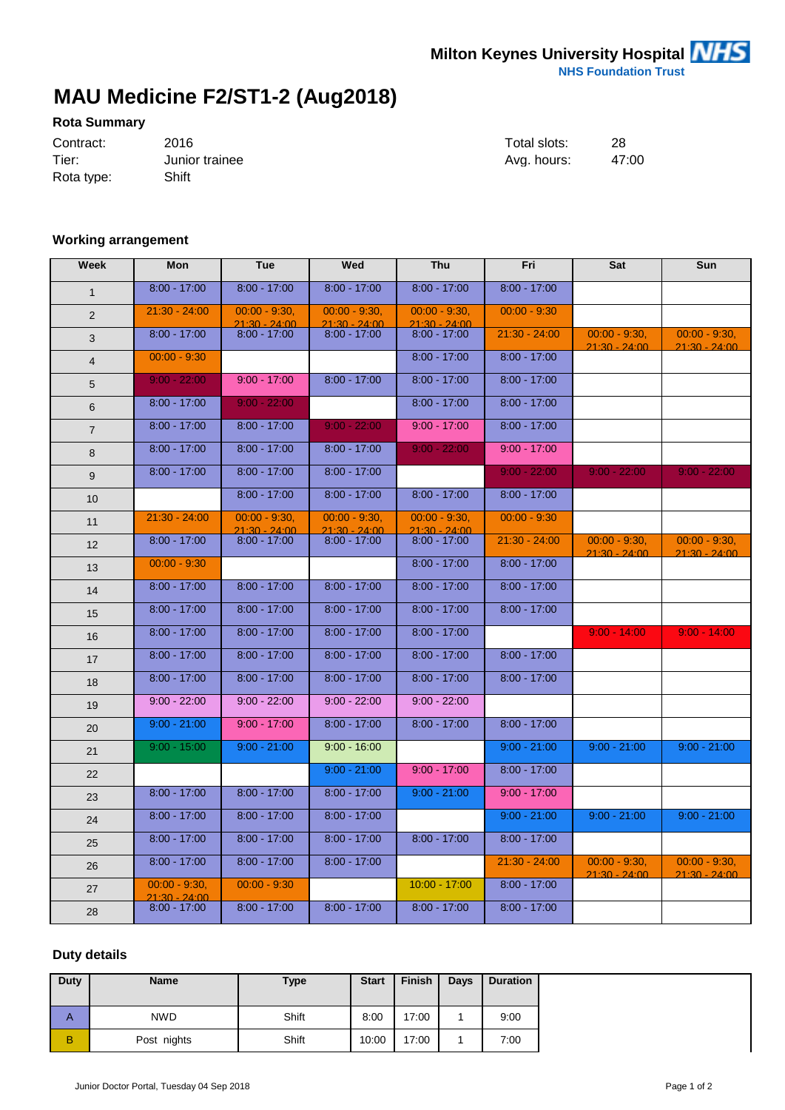## **MAU Medicine F2/ST1-2 (Aug2018)**

## **Rota Summary**

| Contract:  | 2016           | Total slots: | 28    |
|------------|----------------|--------------|-------|
| Tier:      | Junior trainee | Ava. hours:  | 47:00 |
| Rota type: | Shift          |              |       |

## **Working arrangement**

| Week           | <b>Mon</b>                              | Tue                                | Wed                                | <b>Thu</b>                         | <b>Fri</b>      | Sat                                | Sun                               |
|----------------|-----------------------------------------|------------------------------------|------------------------------------|------------------------------------|-----------------|------------------------------------|-----------------------------------|
| $\mathbf{1}$   | $8:00 - 17:00$                          | $8:00 - 17:00$                     | $8:00 - 17:00$                     | $8:00 - 17:00$                     | $8:00 - 17:00$  |                                    |                                   |
| 2              | $21:30 - 24:00$                         | $00:00 - 9:30.$<br>$21:30 - 24:00$ | $00:00 - 9:30.$<br>$21:30 - 24:00$ | $00:00 - 9:30.$<br>$21:30 - 24:00$ | $00:00 - 9:30$  |                                    |                                   |
| 3              | $8:00 - 17:00$                          | $8:00 - 17:00$                     | $8:00 - 17:00$                     | $8:00 - 17:00$                     | $21:30 - 24:00$ | $00:00 - 9:30$<br>$21.30 - 24.00$  | $00:00 - 9:30$<br>$21.30 - 24.00$ |
| $\overline{4}$ | $00.00 - 9.30$                          |                                    |                                    | $8:00 - 17:00$                     | $8:00 - 17:00$  |                                    |                                   |
| 5              | $9:00 - 22:00$                          | $9:00 - 17:00$                     | $8:00 - 17:00$                     | $8:00 - 17:00$                     | $8:00 - 17:00$  |                                    |                                   |
| 6              | $8:00 - 17:00$                          | $9:00 - 22:00$                     |                                    | $8:00 - 17:00$                     | $8:00 - 17:00$  |                                    |                                   |
| $\overline{7}$ | $8:00 - 17:00$                          | $8:00 - 17:00$                     | $9:00 - 22:00$                     | $9:00 - 17:00$                     | $8:00 - 17:00$  |                                    |                                   |
| 8              | $8:00 - 17:00$                          | $8:00 - 17:00$                     | $8:00 - 17:00$                     | $9:00 - 22:00$                     | $9:00 - 17:00$  |                                    |                                   |
| 9              | $8:00 - 17:00$                          | $8:00 - 17:00$                     | $8:00 - 17:00$                     |                                    | $9:00 - 22:00$  | $9:00 - 22:00$                     | $9:00 - 22:00$                    |
| 10             |                                         | $8:00 - 17:00$                     | $8:00 - 17:00$                     | $8:00 - 17:00$                     | $8:00 - 17:00$  |                                    |                                   |
| 11             | $21:30 - 24:00$                         | $00:00 - 9:30$<br>$21:30 - 24:00$  | $00:00 - 9:30$<br>$21:30 - 24:00$  | $00:00 - 9:30$<br>$21:30 - 24:00$  | $00:00 - 9:30$  |                                    |                                   |
| 12             | $8:00 - 17:00$                          | $8:00 - 17:00$                     | $8:00 - 17:00$                     | $8:00 - 17:00$                     | $21:30 - 24:00$ | $00:00 - 9:30,$<br>$21.30 - 24.00$ | $00:00 - 9:30$<br>$21.30 - 24.00$ |
| 13             | $00:00 - 9:30$                          |                                    |                                    | $8:00 - 17:00$                     | $8:00 - 17:00$  |                                    |                                   |
| 14             | $8:00 - 17:00$                          | $8:00 - 17:00$                     | $8:00 - 17:00$                     | $8:00 - 17:00$                     | $8:00 - 17:00$  |                                    |                                   |
| 15             | $8:00 - 17:00$                          | $8:00 - 17:00$                     | $8:00 - 17:00$                     | $8:00 - 17:00$                     | $8:00 - 17:00$  |                                    |                                   |
| 16             | $8:00 - 17:00$                          | $8:00 - 17:00$                     | $8:00 - 17:00$                     | $8:00 - 17:00$                     |                 | $9:00 - 14:00$                     | $9:00 - 14:00$                    |
| 17             | $8:00 - 17:00$                          | $8:00 - 17:00$                     | $8:00 - 17:00$                     | $8:00 - 17:00$                     | $8:00 - 17:00$  |                                    |                                   |
| 18             | $8:00 - 17:00$                          | $8:00 - 17:00$                     | $8:00 - 17:00$                     | $8:00 - 17:00$                     | $8:00 - 17:00$  |                                    |                                   |
| 19             | $9:00 - 22:00$                          | $9:00 - 22:00$                     | $9:00 - 22:00$                     | $9:00 - 22:00$                     |                 |                                    |                                   |
| 20             | $9:00 - 21:00$                          | $9:00 - 17:00$                     | $8:00 - 17:00$                     | $8:00 - 17:00$                     | $8:00 - 17:00$  |                                    |                                   |
| 21             | $9:00 - 15:00$                          | $9:00 - 21:00$                     | $9:00 - 16:00$                     |                                    | $9:00 - 21:00$  | $9:00 - 21:00$                     | $9:00 - 21:00$                    |
| 22             |                                         |                                    | $9:00 - 21:00$                     | $9:00 - 17:00$                     | $8:00 - 17:00$  |                                    |                                   |
| 23             | $8:00 - 17:00$                          | $8:00 - 17:00$                     | $8:00 - 17:00$                     | $9:00 - 21:00$                     | $9:00 - 17:00$  |                                    |                                   |
| 24             | $8:00 - 17:00$                          | $8:00 - 17:00$                     | $8:00 - 17:00$                     |                                    | $9:00 - 21:00$  | $9:00 - 21:00$                     | $9:00 - 21:00$                    |
| 25             | $8:00 - 17:00$                          | $8:00 - 17:00$                     | $8:00 - 17:00$                     | $8:00 - 17:00$                     | $8:00 - 17:00$  |                                    |                                   |
| 26             | $8:00 - 17:00$                          | $8:00 - 17:00$                     | $8:00 - 17:00$                     |                                    | $21:30 - 24:00$ | $00:00 - 9:30,$<br>$21.30 - 24.00$ | $00:00 - 9:30$<br>$21:30 - 24:00$ |
| 27             | $00:00 - 9:30,$<br>ว1∙่ 3∩ ่<br>. 24.00 | $00:00 - 9:30$                     |                                    | $10:00 - 17:00$                    | $8:00 - 17:00$  |                                    |                                   |
| 28             | $8:00 - 17:00$                          | $8:00 - 17:00$                     | $8:00 - 17:00$                     | $8:00 - 17:00$                     | $8:00 - 17:00$  |                                    |                                   |

## **Duty details**

| Duty | <b>Name</b> | <b>Type</b> | <b>Start</b> | <b>Finish</b> | Days | <b>Duration</b> |
|------|-------------|-------------|--------------|---------------|------|-----------------|
|      | <b>NWD</b>  | Shift       | 8:00         | 17:00         |      | 9:00            |
| B    | Post nights | Shift       | 10:00        | 17:00         |      | 7:00            |